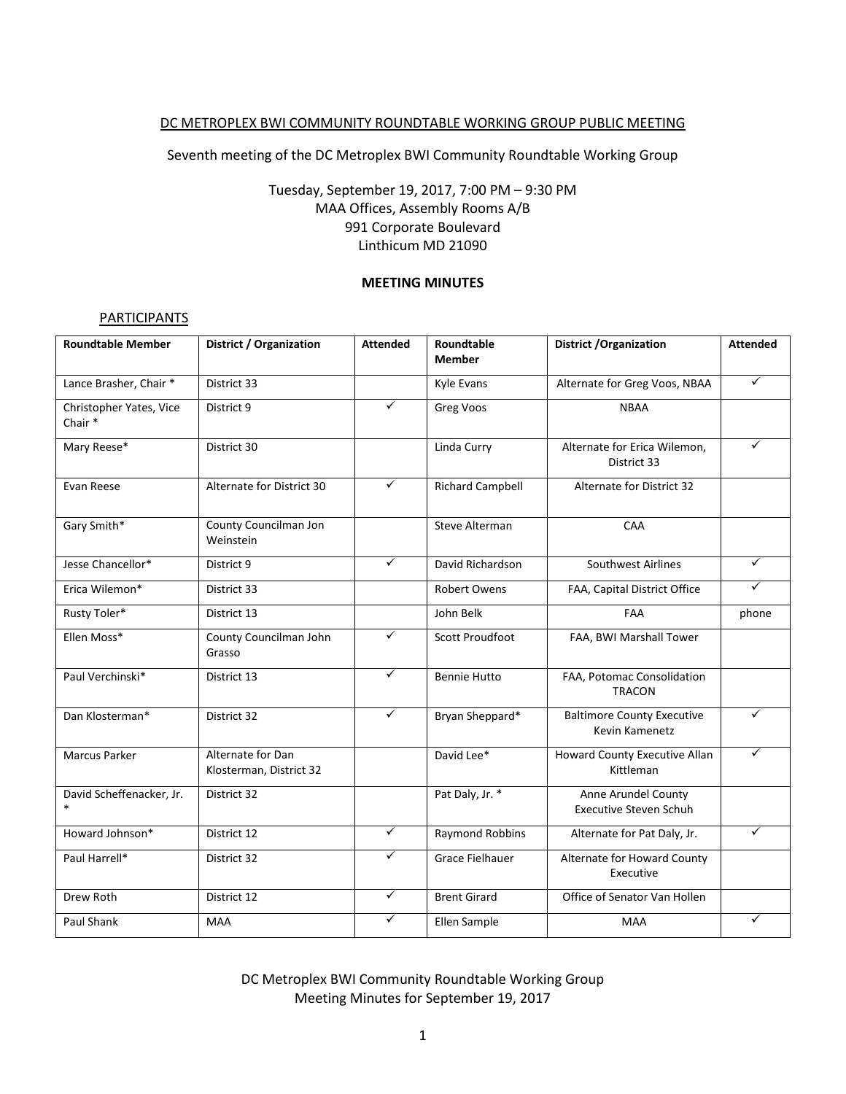## DC METROPLEX BWI COMMUNITY ROUNDTABLE WORKING GROUP PUBLIC MEETING

Seventh meeting of the DC Metroplex BWI Community Roundtable Working Group

## Tuesday, September 19, 2017, 7:00 PM – 9:30 PM MAA Offices, Assembly Rooms A/B 991 Corporate Boulevard Linthicum MD 21090

## **MEETING MINUTES**

#### **PARTICIPANTS**

| <b>Roundtable Member</b>          | <b>District / Organization</b>               | <b>Attended</b> | Roundtable<br><b>Member</b> | <b>District /Organization</b>                        | <b>Attended</b> |
|-----------------------------------|----------------------------------------------|-----------------|-----------------------------|------------------------------------------------------|-----------------|
|                                   |                                              |                 |                             |                                                      | $\checkmark$    |
| Lance Brasher, Chair *            | District 33                                  |                 | Kyle Evans                  | Alternate for Greg Voos, NBAA                        |                 |
| Christopher Yates, Vice<br>Chair* | District 9                                   | ✓               | Greg Voos                   | <b>NBAA</b>                                          |                 |
| Mary Reese*                       | District 30                                  |                 | Linda Curry                 | Alternate for Erica Wilemon,<br>District 33          | ✓               |
| Evan Reese                        | Alternate for District 30                    | $\checkmark$    | <b>Richard Campbell</b>     | <b>Alternate for District 32</b>                     |                 |
| Gary Smith*                       | County Councilman Jon<br>Weinstein           |                 | Steve Alterman              | CAA                                                  |                 |
| Jesse Chancellor*                 | District 9                                   | $\checkmark$    | David Richardson            | Southwest Airlines                                   | ✓               |
| Erica Wilemon*                    | District 33                                  |                 | <b>Robert Owens</b>         | FAA, Capital District Office                         | ✓               |
| Rusty Toler*                      | District 13                                  |                 | John Belk                   | FAA                                                  | phone           |
| Ellen Moss*                       | County Councilman John<br>Grasso             | $\checkmark$    | <b>Scott Proudfoot</b>      | FAA, BWI Marshall Tower                              |                 |
| Paul Verchinski*                  | District 13                                  | $\checkmark$    | <b>Bennie Hutto</b>         | FAA, Potomac Consolidation<br><b>TRACON</b>          |                 |
| Dan Klosterman*                   | District 32                                  | $\checkmark$    | Bryan Sheppard*             | <b>Baltimore County Executive</b><br>Kevin Kamenetz  | ✓               |
| <b>Marcus Parker</b>              | Alternate for Dan<br>Klosterman, District 32 |                 | David Lee*                  | Howard County Executive Allan<br>Kittleman           | ✓               |
| David Scheffenacker, Jr.          | District 32                                  |                 | Pat Daly, Jr. *             | Anne Arundel County<br><b>Executive Steven Schuh</b> |                 |
| Howard Johnson*                   | District 12                                  | $\checkmark$    | Raymond Robbins             | Alternate for Pat Daly, Jr.                          | ✓               |
| Paul Harrell*                     | District 32                                  | ✓               | <b>Grace Fielhauer</b>      | Alternate for Howard County<br>Executive             |                 |
| Drew Roth                         | District 12                                  | $\checkmark$    | <b>Brent Girard</b>         | Office of Senator Van Hollen                         |                 |
| Paul Shank                        | <b>MAA</b>                                   | ✓               | Ellen Sample                | <b>MAA</b>                                           | ✓               |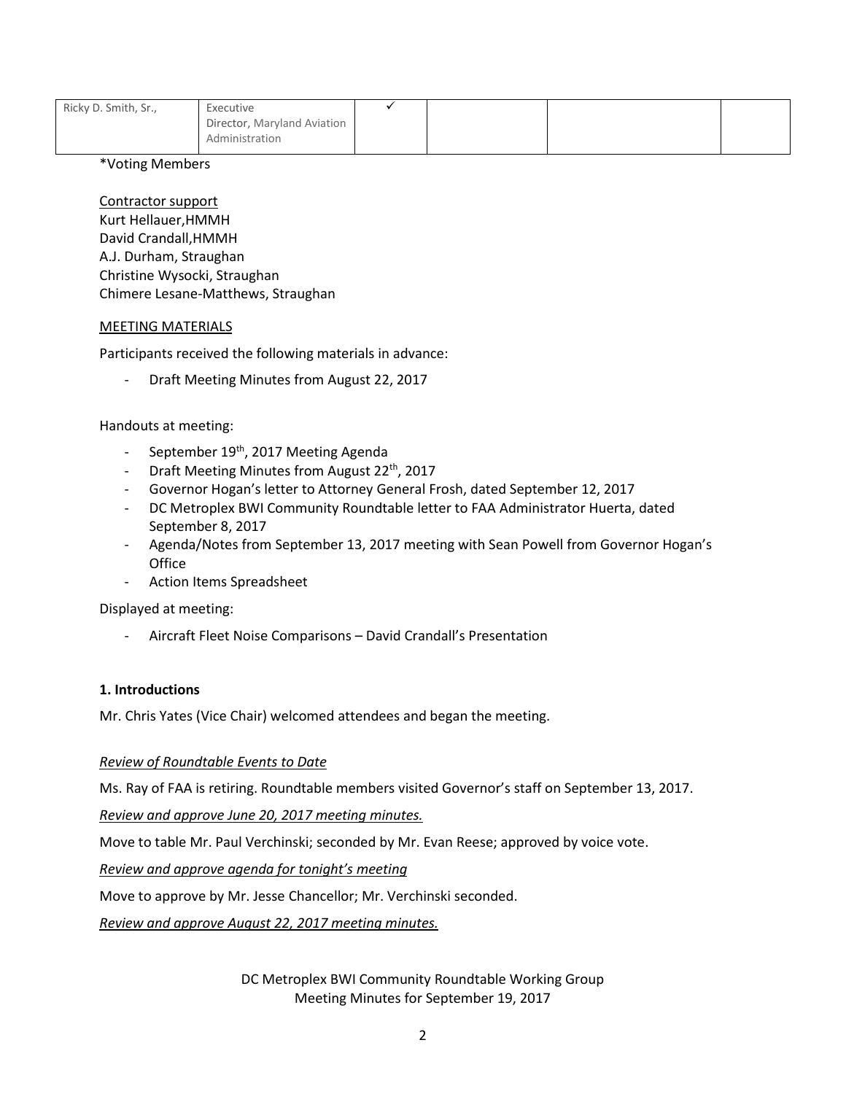| Ricky D. Smith, Sr., | Executive                                     |  |  |
|----------------------|-----------------------------------------------|--|--|
|                      | Director, Maryland Aviation<br>Administration |  |  |
|                      |                                               |  |  |

\*Voting Members

Contractor support

Kurt Hellauer,HMMH David Crandall,HMMH A.J. Durham, Straughan Christine Wysocki, Straughan Chimere Lesane-Matthews, Straughan

## MEETING MATERIALS

Participants received the following materials in advance:

Draft Meeting Minutes from August 22, 2017

## Handouts at meeting:

- September 19<sup>th</sup>, 2017 Meeting Agenda
- Draft Meeting Minutes from August 22<sup>th</sup>, 2017
- Governor Hogan's letter to Attorney General Frosh, dated September 12, 2017
- DC Metroplex BWI Community Roundtable letter to FAA Administrator Huerta, dated September 8, 2017
- Agenda/Notes from September 13, 2017 meeting with Sean Powell from Governor Hogan's **Office**
- Action Items Spreadsheet

Displayed at meeting:

- Aircraft Fleet Noise Comparisons – David Crandall's Presentation

## **1. Introductions**

Mr. Chris Yates (Vice Chair) welcomed attendees and began the meeting.

## *Review of Roundtable Events to Date*

Ms. Ray of FAA is retiring. Roundtable members visited Governor's staff on September 13, 2017.

*Review and approve June 20, 2017 meeting minutes.*

Move to table Mr. Paul Verchinski; seconded by Mr. Evan Reese; approved by voice vote.

*Review and approve agenda for tonight's meeting*

Move to approve by Mr. Jesse Chancellor; Mr. Verchinski seconded.

*Review and approve August 22, 2017 meeting minutes.*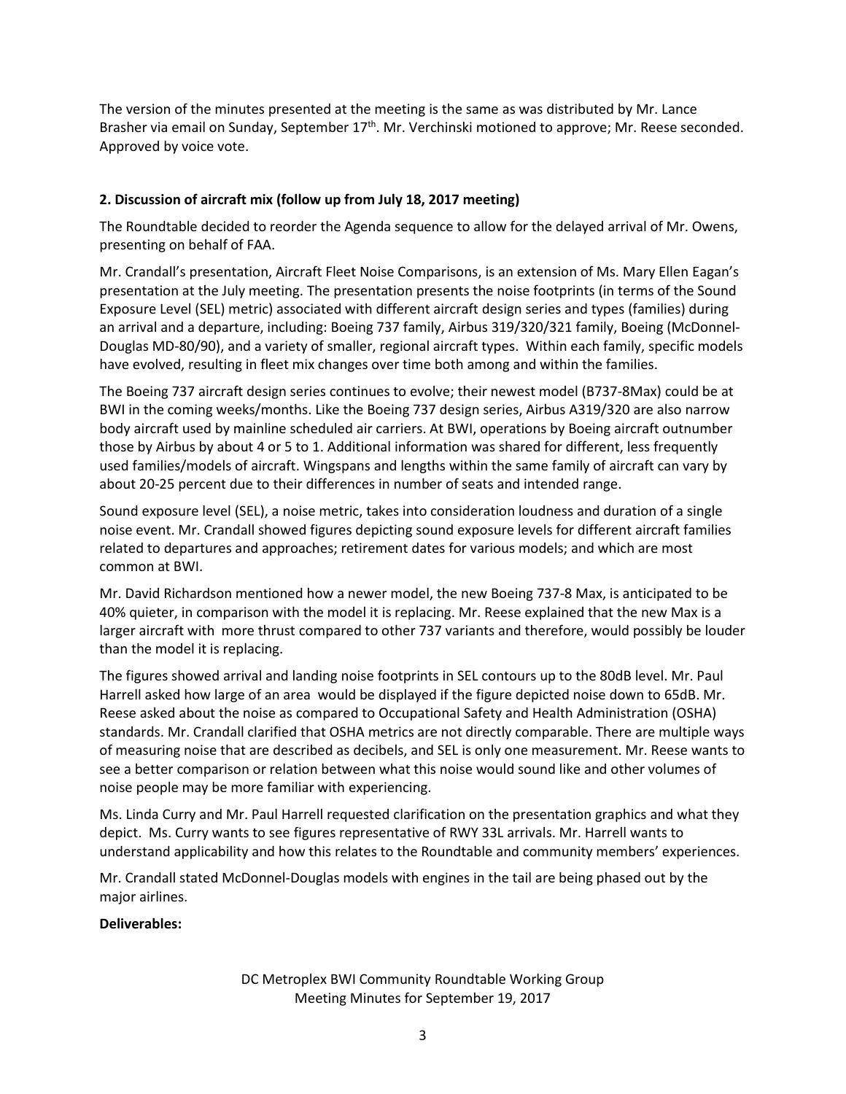The version of the minutes presented at the meeting is the same as was distributed by Mr. Lance Brasher via email on Sunday, September 17<sup>th</sup>. Mr. Verchinski motioned to approve; Mr. Reese seconded. Approved by voice vote.

# **2. Discussion of aircraft mix (follow up from July 18, 2017 meeting)**

The Roundtable decided to reorder the Agenda sequence to allow for the delayed arrival of Mr. Owens, presenting on behalf of FAA.

Mr. Crandall's presentation, Aircraft Fleet Noise Comparisons, is an extension of Ms. Mary Ellen Eagan's presentation at the July meeting. The presentation presents the noise footprints (in terms of the Sound Exposure Level (SEL) metric) associated with different aircraft design series and types (families) during an arrival and a departure, including: Boeing 737 family, Airbus 319/320/321 family, Boeing (McDonnel-Douglas MD-80/90), and a variety of smaller, regional aircraft types. Within each family, specific models have evolved, resulting in fleet mix changes over time both among and within the families.

The Boeing 737 aircraft design series continues to evolve; their newest model (B737-8Max) could be at BWI in the coming weeks/months. Like the Boeing 737 design series, Airbus A319/320 are also narrow body aircraft used by mainline scheduled air carriers. At BWI, operations by Boeing aircraft outnumber those by Airbus by about 4 or 5 to 1. Additional information was shared for different, less frequently used families/models of aircraft. Wingspans and lengths within the same family of aircraft can vary by about 20-25 percent due to their differences in number of seats and intended range.

Sound exposure level (SEL), a noise metric, takes into consideration loudness and duration of a single noise event. Mr. Crandall showed figures depicting sound exposure levels for different aircraft families related to departures and approaches; retirement dates for various models; and which are most common at BWI.

Mr. David Richardson mentioned how a newer model, the new Boeing 737-8 Max, is anticipated to be 40% quieter, in comparison with the model it is replacing. Mr. Reese explained that the new Max is a larger aircraft with more thrust compared to other 737 variants and therefore, would possibly be louder than the model it is replacing.

The figures showed arrival and landing noise footprints in SEL contours up to the 80dB level. Mr. Paul Harrell asked how large of an area would be displayed if the figure depicted noise down to 65dB. Mr. Reese asked about the noise as compared to Occupational Safety and Health Administration (OSHA) standards. Mr. Crandall clarified that OSHA metrics are not directly comparable. There are multiple ways of measuring noise that are described as decibels, and SEL is only one measurement. Mr. Reese wants to see a better comparison or relation between what this noise would sound like and other volumes of noise people may be more familiar with experiencing.

Ms. Linda Curry and Mr. Paul Harrell requested clarification on the presentation graphics and what they depict. Ms. Curry wants to see figures representative of RWY 33L arrivals. Mr. Harrell wants to understand applicability and how this relates to the Roundtable and community members' experiences.

Mr. Crandall stated McDonnel-Douglas models with engines in the tail are being phased out by the major airlines.

## **Deliverables:**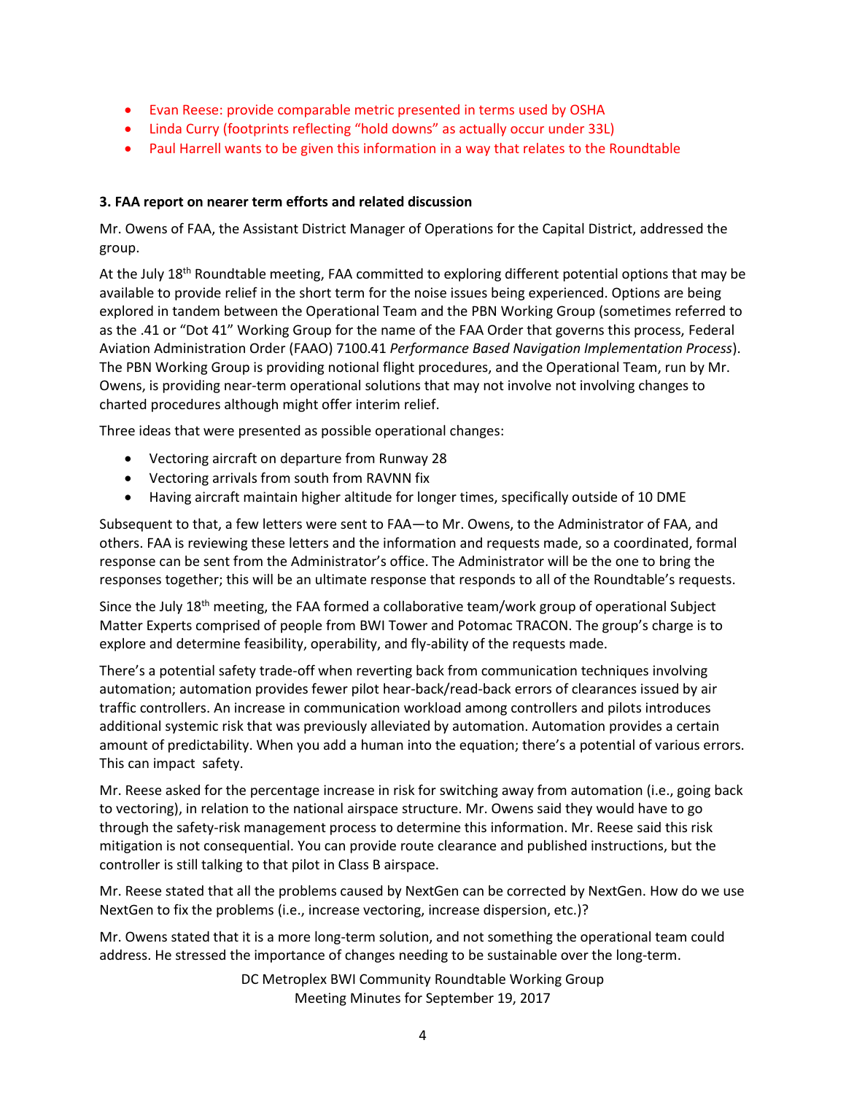- Evan Reese: provide comparable metric presented in terms used by OSHA
- Linda Curry (footprints reflecting "hold downs" as actually occur under 33L)
- Paul Harrell wants to be given this information in a way that relates to the Roundtable

## **3. FAA report on nearer term efforts and related discussion**

Mr. Owens of FAA, the Assistant District Manager of Operations for the Capital District, addressed the group.

At the July 18<sup>th</sup> Roundtable meeting, FAA committed to exploring different potential options that may be available to provide relief in the short term for the noise issues being experienced. Options are being explored in tandem between the Operational Team and the PBN Working Group (sometimes referred to as the .41 or "Dot 41" Working Group for the name of the FAA Order that governs this process, Federal Aviation Administration Order (FAAO) 7100.41 *Performance Based Navigation Implementation Process*). The PBN Working Group is providing notional flight procedures, and the Operational Team, run by Mr. Owens, is providing near-term operational solutions that may not involve not involving changes to charted procedures although might offer interim relief.

Three ideas that were presented as possible operational changes:

- Vectoring aircraft on departure from Runway 28
- Vectoring arrivals from south from RAVNN fix
- Having aircraft maintain higher altitude for longer times, specifically outside of 10 DME

Subsequent to that, a few letters were sent to FAA—to Mr. Owens, to the Administrator of FAA, and others. FAA is reviewing these letters and the information and requests made, so a coordinated, formal response can be sent from the Administrator's office. The Administrator will be the one to bring the responses together; this will be an ultimate response that responds to all of the Roundtable's requests.

Since the July 18<sup>th</sup> meeting, the FAA formed a collaborative team/work group of operational Subject Matter Experts comprised of people from BWI Tower and Potomac TRACON. The group's charge is to explore and determine feasibility, operability, and fly-ability of the requests made.

There's a potential safety trade-off when reverting back from communication techniques involving automation; automation provides fewer pilot hear-back/read-back errors of clearances issued by air traffic controllers. An increase in communication workload among controllers and pilots introduces additional systemic risk that was previously alleviated by automation. Automation provides a certain amount of predictability. When you add a human into the equation; there's a potential of various errors. This can impact safety.

Mr. Reese asked for the percentage increase in risk for switching away from automation (i.e., going back to vectoring), in relation to the national airspace structure. Mr. Owens said they would have to go through the safety-risk management process to determine this information. Mr. Reese said this risk mitigation is not consequential. You can provide route clearance and published instructions, but the controller is still talking to that pilot in Class B airspace.

Mr. Reese stated that all the problems caused by NextGen can be corrected by NextGen. How do we use NextGen to fix the problems (i.e., increase vectoring, increase dispersion, etc.)?

Mr. Owens stated that it is a more long-term solution, and not something the operational team could address. He stressed the importance of changes needing to be sustainable over the long-term.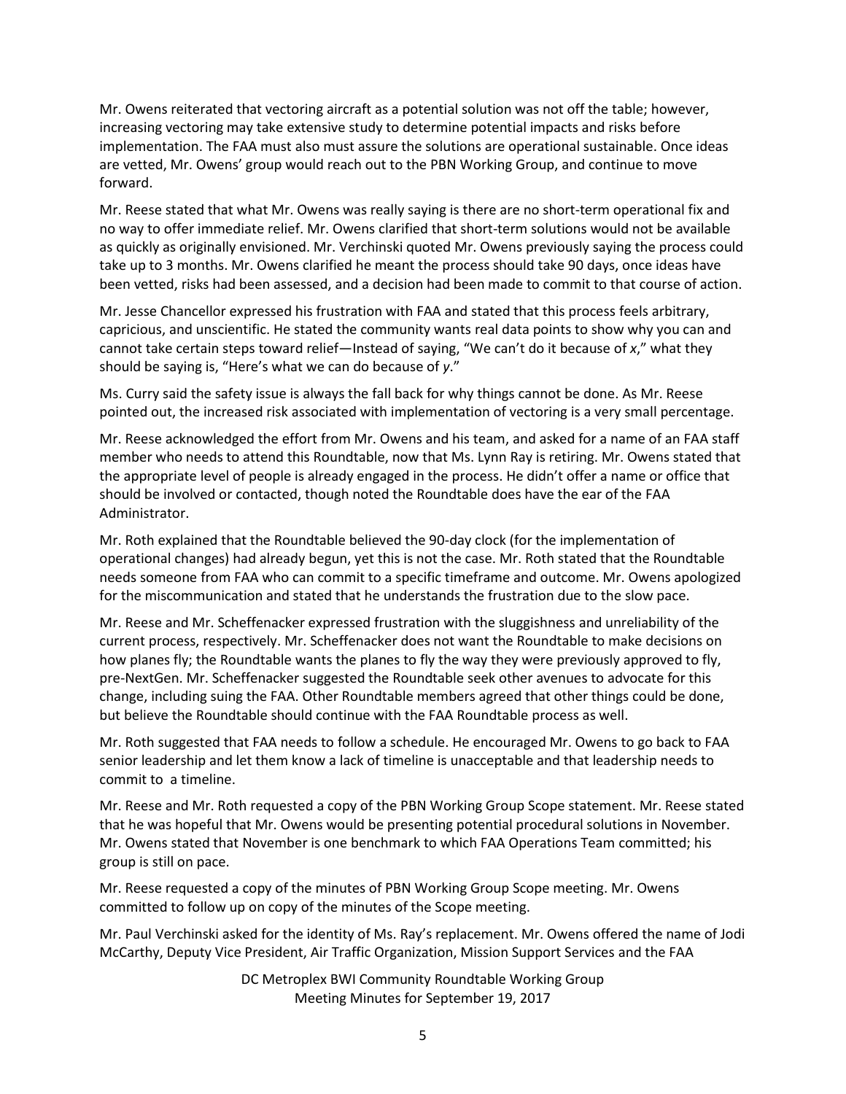Mr. Owens reiterated that vectoring aircraft as a potential solution was not off the table; however, increasing vectoring may take extensive study to determine potential impacts and risks before implementation. The FAA must also must assure the solutions are operational sustainable. Once ideas are vetted, Mr. Owens' group would reach out to the PBN Working Group, and continue to move forward.

Mr. Reese stated that what Mr. Owens was really saying is there are no short-term operational fix and no way to offer immediate relief. Mr. Owens clarified that short-term solutions would not be available as quickly as originally envisioned. Mr. Verchinski quoted Mr. Owens previously saying the process could take up to 3 months. Mr. Owens clarified he meant the process should take 90 days, once ideas have been vetted, risks had been assessed, and a decision had been made to commit to that course of action.

Mr. Jesse Chancellor expressed his frustration with FAA and stated that this process feels arbitrary, capricious, and unscientific. He stated the community wants real data points to show why you can and cannot take certain steps toward relief—Instead of saying, "We can't do it because of *x*," what they should be saying is, "Here's what we can do because of *y*."

Ms. Curry said the safety issue is always the fall back for why things cannot be done. As Mr. Reese pointed out, the increased risk associated with implementation of vectoring is a very small percentage.

Mr. Reese acknowledged the effort from Mr. Owens and his team, and asked for a name of an FAA staff member who needs to attend this Roundtable, now that Ms. Lynn Ray is retiring. Mr. Owens stated that the appropriate level of people is already engaged in the process. He didn't offer a name or office that should be involved or contacted, though noted the Roundtable does have the ear of the FAA Administrator.

Mr. Roth explained that the Roundtable believed the 90-day clock (for the implementation of operational changes) had already begun, yet this is not the case. Mr. Roth stated that the Roundtable needs someone from FAA who can commit to a specific timeframe and outcome. Mr. Owens apologized for the miscommunication and stated that he understands the frustration due to the slow pace.

Mr. Reese and Mr. Scheffenacker expressed frustration with the sluggishness and unreliability of the current process, respectively. Mr. Scheffenacker does not want the Roundtable to make decisions on how planes fly; the Roundtable wants the planes to fly the way they were previously approved to fly, pre-NextGen. Mr. Scheffenacker suggested the Roundtable seek other avenues to advocate for this change, including suing the FAA. Other Roundtable members agreed that other things could be done, but believe the Roundtable should continue with the FAA Roundtable process as well.

Mr. Roth suggested that FAA needs to follow a schedule. He encouraged Mr. Owens to go back to FAA senior leadership and let them know a lack of timeline is unacceptable and that leadership needs to commit to a timeline.

Mr. Reese and Mr. Roth requested a copy of the PBN Working Group Scope statement. Mr. Reese stated that he was hopeful that Mr. Owens would be presenting potential procedural solutions in November. Mr. Owens stated that November is one benchmark to which FAA Operations Team committed; his group is still on pace.

Mr. Reese requested a copy of the minutes of PBN Working Group Scope meeting. Mr. Owens committed to follow up on copy of the minutes of the Scope meeting.

Mr. Paul Verchinski asked for the identity of Ms. Ray's replacement. Mr. Owens offered the name of Jodi McCarthy, Deputy Vice President, Air Traffic Organization, Mission Support Services and the FAA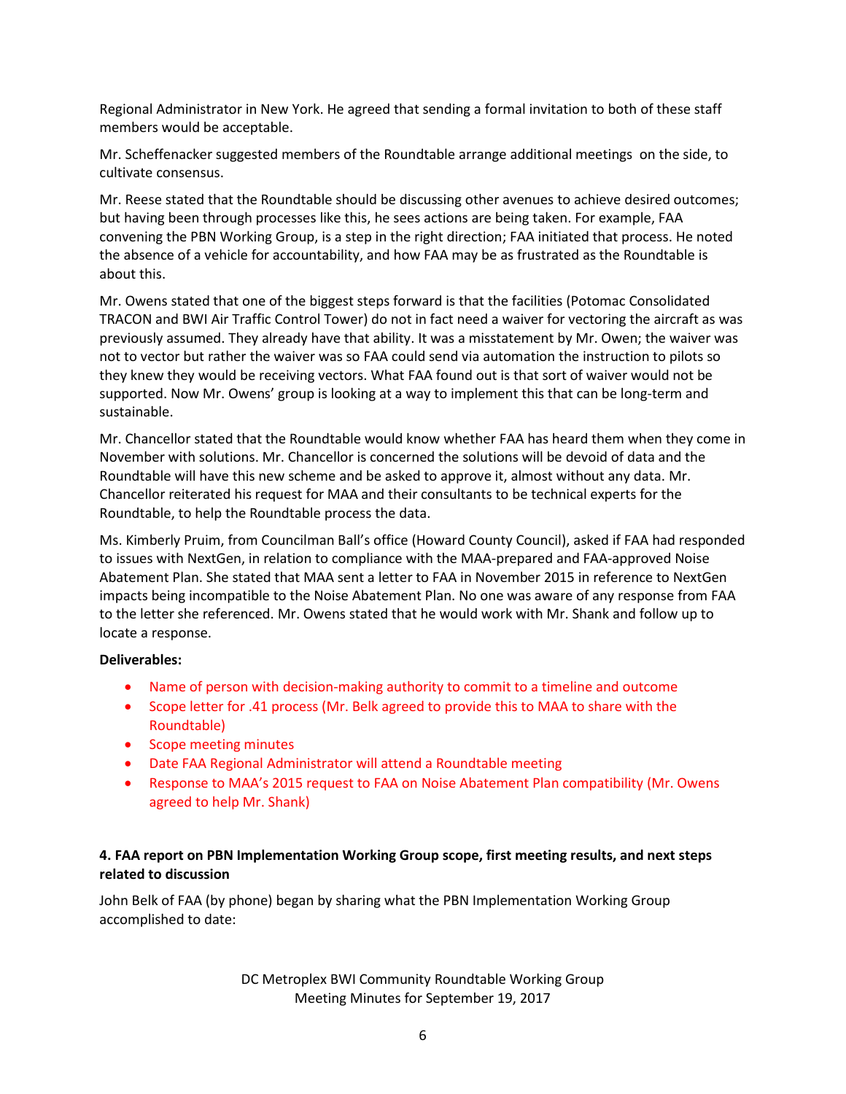Regional Administrator in New York. He agreed that sending a formal invitation to both of these staff members would be acceptable.

Mr. Scheffenacker suggested members of the Roundtable arrange additional meetings on the side, to cultivate consensus.

Mr. Reese stated that the Roundtable should be discussing other avenues to achieve desired outcomes; but having been through processes like this, he sees actions are being taken. For example, FAA convening the PBN Working Group, is a step in the right direction; FAA initiated that process. He noted the absence of a vehicle for accountability, and how FAA may be as frustrated as the Roundtable is about this.

Mr. Owens stated that one of the biggest steps forward is that the facilities (Potomac Consolidated TRACON and BWI Air Traffic Control Tower) do not in fact need a waiver for vectoring the aircraft as was previously assumed. They already have that ability. It was a misstatement by Mr. Owen; the waiver was not to vector but rather the waiver was so FAA could send via automation the instruction to pilots so they knew they would be receiving vectors. What FAA found out is that sort of waiver would not be supported. Now Mr. Owens' group is looking at a way to implement this that can be long-term and sustainable.

Mr. Chancellor stated that the Roundtable would know whether FAA has heard them when they come in November with solutions. Mr. Chancellor is concerned the solutions will be devoid of data and the Roundtable will have this new scheme and be asked to approve it, almost without any data. Mr. Chancellor reiterated his request for MAA and their consultants to be technical experts for the Roundtable, to help the Roundtable process the data.

Ms. Kimberly Pruim, from Councilman Ball's office (Howard County Council), asked if FAA had responded to issues with NextGen, in relation to compliance with the MAA-prepared and FAA-approved Noise Abatement Plan. She stated that MAA sent a letter to FAA in November 2015 in reference to NextGen impacts being incompatible to the Noise Abatement Plan. No one was aware of any response from FAA to the letter she referenced. Mr. Owens stated that he would work with Mr. Shank and follow up to locate a response.

## **Deliverables:**

- Name of person with decision-making authority to commit to a timeline and outcome
- Scope letter for .41 process (Mr. Belk agreed to provide this to MAA to share with the Roundtable)
- Scope meeting minutes
- Date FAA Regional Administrator will attend a Roundtable meeting
- Response to MAA's 2015 request to FAA on Noise Abatement Plan compatibility (Mr. Owens agreed to help Mr. Shank)

## **4. FAA report on PBN Implementation Working Group scope, first meeting results, and next steps related to discussion**

John Belk of FAA (by phone) began by sharing what the PBN Implementation Working Group accomplished to date: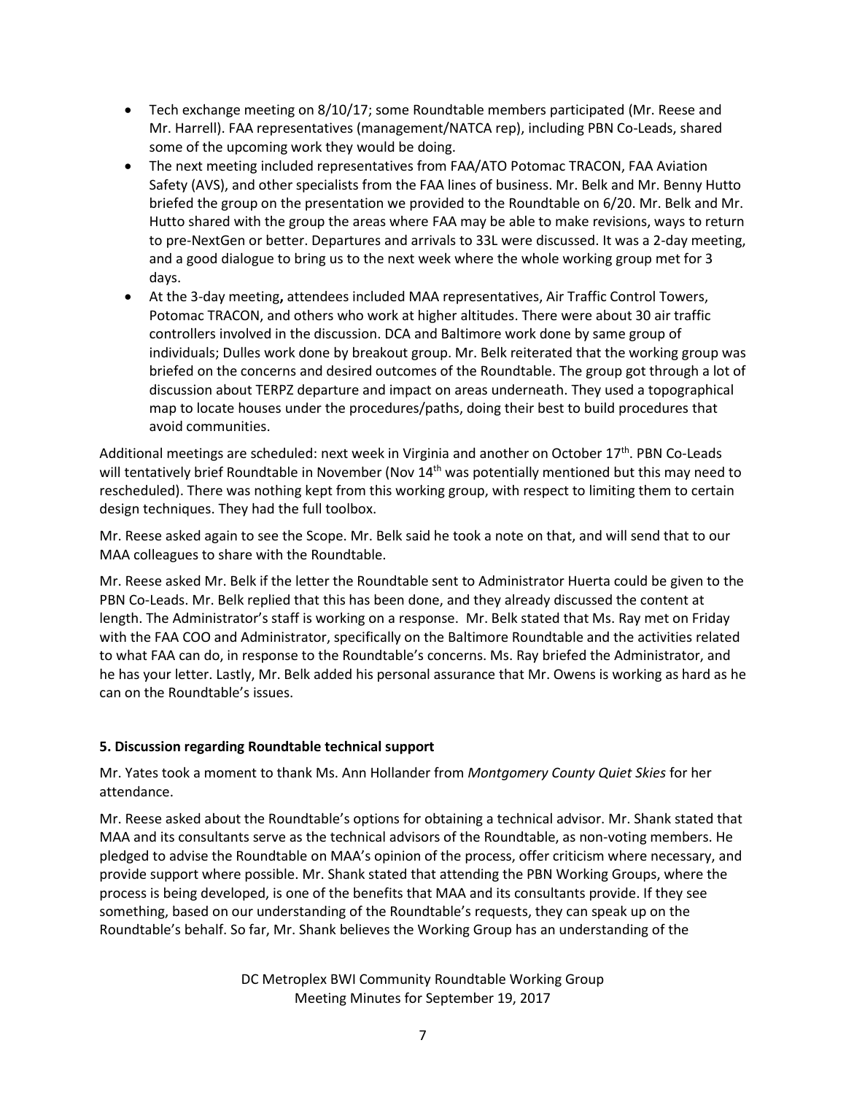- Tech exchange meeting on 8/10/17; some Roundtable members participated (Mr. Reese and Mr. Harrell). FAA representatives (management/NATCA rep), including PBN Co-Leads, shared some of the upcoming work they would be doing.
- The next meeting included representatives from FAA/ATO Potomac TRACON, FAA Aviation Safety (AVS), and other specialists from the FAA lines of business. Mr. Belk and Mr. Benny Hutto briefed the group on the presentation we provided to the Roundtable on 6/20. Mr. Belk and Mr. Hutto shared with the group the areas where FAA may be able to make revisions, ways to return to pre-NextGen or better. Departures and arrivals to 33L were discussed. It was a 2-day meeting, and a good dialogue to bring us to the next week where the whole working group met for 3 days.
- At the 3-day meeting**,** attendees included MAA representatives, Air Traffic Control Towers, Potomac TRACON, and others who work at higher altitudes. There were about 30 air traffic controllers involved in the discussion. DCA and Baltimore work done by same group of individuals; Dulles work done by breakout group. Mr. Belk reiterated that the working group was briefed on the concerns and desired outcomes of the Roundtable. The group got through a lot of discussion about TERPZ departure and impact on areas underneath. They used a topographical map to locate houses under the procedures/paths, doing their best to build procedures that avoid communities.

Additional meetings are scheduled: next week in Virginia and another on October 17<sup>th</sup>. PBN Co-Leads will tentatively brief Roundtable in November (Nov 14<sup>th</sup> was potentially mentioned but this may need to rescheduled). There was nothing kept from this working group, with respect to limiting them to certain design techniques. They had the full toolbox.

Mr. Reese asked again to see the Scope. Mr. Belk said he took a note on that, and will send that to our MAA colleagues to share with the Roundtable.

Mr. Reese asked Mr. Belk if the letter the Roundtable sent to Administrator Huerta could be given to the PBN Co-Leads. Mr. Belk replied that this has been done, and they already discussed the content at length. The Administrator's staff is working on a response. Mr. Belk stated that Ms. Ray met on Friday with the FAA COO and Administrator, specifically on the Baltimore Roundtable and the activities related to what FAA can do, in response to the Roundtable's concerns. Ms. Ray briefed the Administrator, and he has your letter. Lastly, Mr. Belk added his personal assurance that Mr. Owens is working as hard as he can on the Roundtable's issues.

# **5. Discussion regarding Roundtable technical support**

Mr. Yates took a moment to thank Ms. Ann Hollander from *Montgomery County Quiet Skies* for her attendance.

Mr. Reese asked about the Roundtable's options for obtaining a technical advisor. Mr. Shank stated that MAA and its consultants serve as the technical advisors of the Roundtable, as non-voting members. He pledged to advise the Roundtable on MAA's opinion of the process, offer criticism where necessary, and provide support where possible. Mr. Shank stated that attending the PBN Working Groups, where the process is being developed, is one of the benefits that MAA and its consultants provide. If they see something, based on our understanding of the Roundtable's requests, they can speak up on the Roundtable's behalf. So far, Mr. Shank believes the Working Group has an understanding of the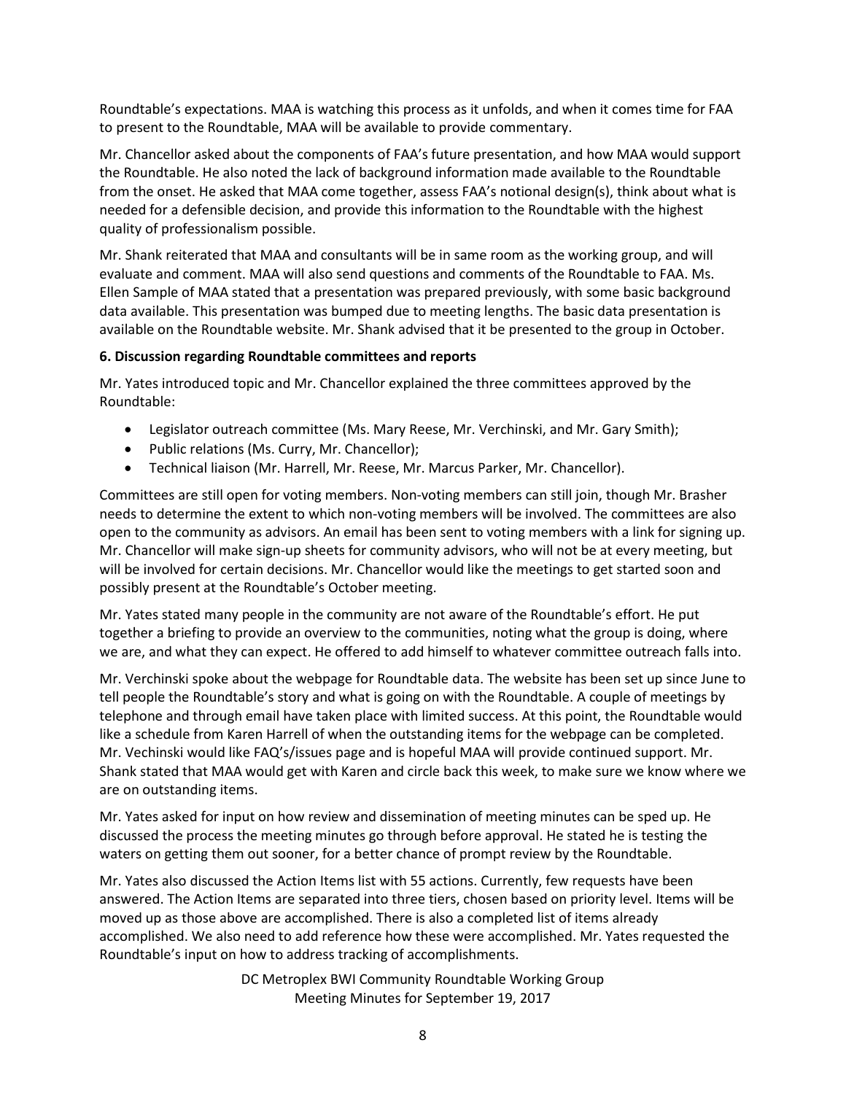Roundtable's expectations. MAA is watching this process as it unfolds, and when it comes time for FAA to present to the Roundtable, MAA will be available to provide commentary.

Mr. Chancellor asked about the components of FAA's future presentation, and how MAA would support the Roundtable. He also noted the lack of background information made available to the Roundtable from the onset. He asked that MAA come together, assess FAA's notional design(s), think about what is needed for a defensible decision, and provide this information to the Roundtable with the highest quality of professionalism possible.

Mr. Shank reiterated that MAA and consultants will be in same room as the working group, and will evaluate and comment. MAA will also send questions and comments of the Roundtable to FAA. Ms. Ellen Sample of MAA stated that a presentation was prepared previously, with some basic background data available. This presentation was bumped due to meeting lengths. The basic data presentation is available on the Roundtable website. Mr. Shank advised that it be presented to the group in October.

## **6. Discussion regarding Roundtable committees and reports**

Mr. Yates introduced topic and Mr. Chancellor explained the three committees approved by the Roundtable:

- Legislator outreach committee (Ms. Mary Reese, Mr. Verchinski, and Mr. Gary Smith);
- Public relations (Ms. Curry, Mr. Chancellor);
- Technical liaison (Mr. Harrell, Mr. Reese, Mr. Marcus Parker, Mr. Chancellor).

Committees are still open for voting members. Non-voting members can still join, though Mr. Brasher needs to determine the extent to which non-voting members will be involved. The committees are also open to the community as advisors. An email has been sent to voting members with a link for signing up. Mr. Chancellor will make sign-up sheets for community advisors, who will not be at every meeting, but will be involved for certain decisions. Mr. Chancellor would like the meetings to get started soon and possibly present at the Roundtable's October meeting.

Mr. Yates stated many people in the community are not aware of the Roundtable's effort. He put together a briefing to provide an overview to the communities, noting what the group is doing, where we are, and what they can expect. He offered to add himself to whatever committee outreach falls into.

Mr. Verchinski spoke about the webpage for Roundtable data. The website has been set up since June to tell people the Roundtable's story and what is going on with the Roundtable. A couple of meetings by telephone and through email have taken place with limited success. At this point, the Roundtable would like a schedule from Karen Harrell of when the outstanding items for the webpage can be completed. Mr. Vechinski would like FAQ's/issues page and is hopeful MAA will provide continued support. Mr. Shank stated that MAA would get with Karen and circle back this week, to make sure we know where we are on outstanding items.

Mr. Yates asked for input on how review and dissemination of meeting minutes can be sped up. He discussed the process the meeting minutes go through before approval. He stated he is testing the waters on getting them out sooner, for a better chance of prompt review by the Roundtable.

Mr. Yates also discussed the Action Items list with 55 actions. Currently, few requests have been answered. The Action Items are separated into three tiers, chosen based on priority level. Items will be moved up as those above are accomplished. There is also a completed list of items already accomplished. We also need to add reference how these were accomplished. Mr. Yates requested the Roundtable's input on how to address tracking of accomplishments.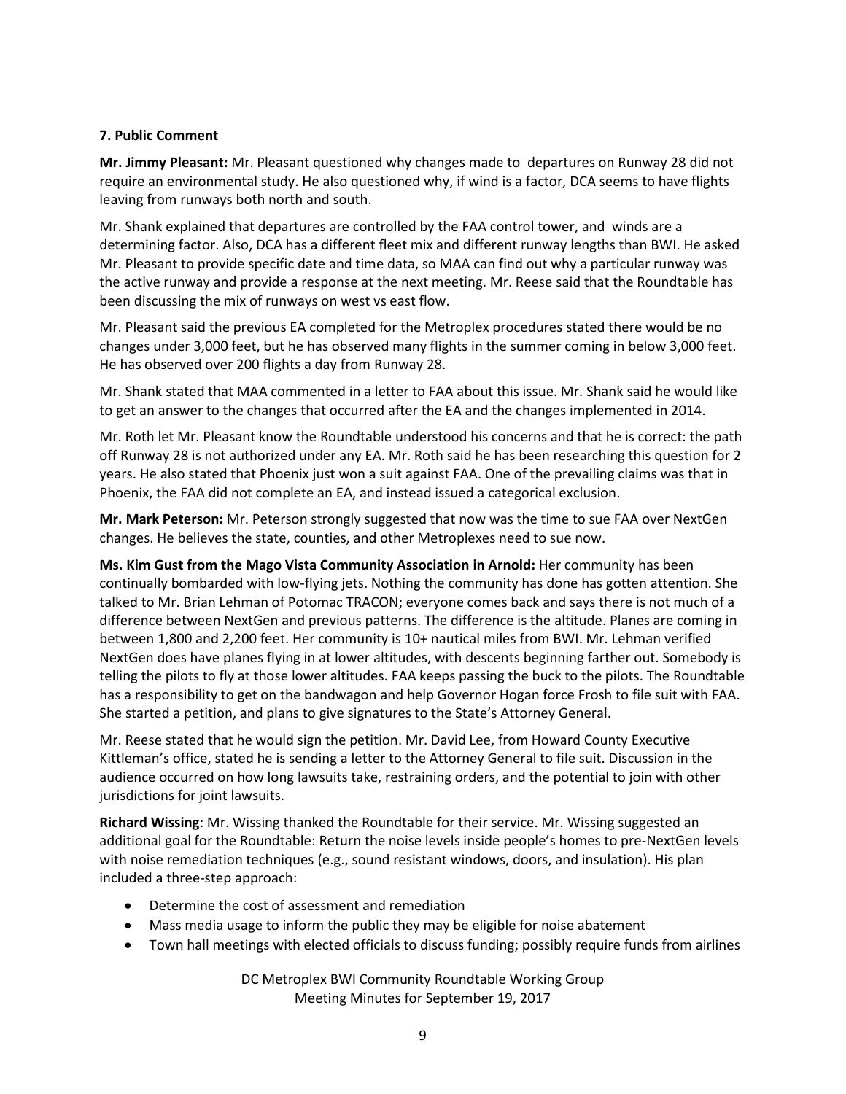#### **7. Public Comment**

**Mr. Jimmy Pleasant:** Mr. Pleasant questioned why changes made to departures on Runway 28 did not require an environmental study. He also questioned why, if wind is a factor, DCA seems to have flights leaving from runways both north and south.

Mr. Shank explained that departures are controlled by the FAA control tower, and winds are a determining factor. Also, DCA has a different fleet mix and different runway lengths than BWI. He asked Mr. Pleasant to provide specific date and time data, so MAA can find out why a particular runway was the active runway and provide a response at the next meeting. Mr. Reese said that the Roundtable has been discussing the mix of runways on west vs east flow.

Mr. Pleasant said the previous EA completed for the Metroplex procedures stated there would be no changes under 3,000 feet, but he has observed many flights in the summer coming in below 3,000 feet. He has observed over 200 flights a day from Runway 28.

Mr. Shank stated that MAA commented in a letter to FAA about this issue. Mr. Shank said he would like to get an answer to the changes that occurred after the EA and the changes implemented in 2014.

Mr. Roth let Mr. Pleasant know the Roundtable understood his concerns and that he is correct: the path off Runway 28 is not authorized under any EA. Mr. Roth said he has been researching this question for 2 years. He also stated that Phoenix just won a suit against FAA. One of the prevailing claims was that in Phoenix, the FAA did not complete an EA, and instead issued a categorical exclusion.

**Mr. Mark Peterson:** Mr. Peterson strongly suggested that now was the time to sue FAA over NextGen changes. He believes the state, counties, and other Metroplexes need to sue now.

**Ms. Kim Gust from the Mago Vista Community Association in Arnold:** Her community has been continually bombarded with low-flying jets. Nothing the community has done has gotten attention. She talked to Mr. Brian Lehman of Potomac TRACON; everyone comes back and says there is not much of a difference between NextGen and previous patterns. The difference is the altitude. Planes are coming in between 1,800 and 2,200 feet. Her community is 10+ nautical miles from BWI. Mr. Lehman verified NextGen does have planes flying in at lower altitudes, with descents beginning farther out. Somebody is telling the pilots to fly at those lower altitudes. FAA keeps passing the buck to the pilots. The Roundtable has a responsibility to get on the bandwagon and help Governor Hogan force Frosh to file suit with FAA. She started a petition, and plans to give signatures to the State's Attorney General.

Mr. Reese stated that he would sign the petition. Mr. David Lee, from Howard County Executive Kittleman's office, stated he is sending a letter to the Attorney General to file suit. Discussion in the audience occurred on how long lawsuits take, restraining orders, and the potential to join with other jurisdictions for joint lawsuits.

**Richard Wissing**: Mr. Wissing thanked the Roundtable for their service. Mr. Wissing suggested an additional goal for the Roundtable: Return the noise levels inside people's homes to pre-NextGen levels with noise remediation techniques (e.g., sound resistant windows, doors, and insulation). His plan included a three-step approach:

- Determine the cost of assessment and remediation
- Mass media usage to inform the public they may be eligible for noise abatement
- Town hall meetings with elected officials to discuss funding; possibly require funds from airlines